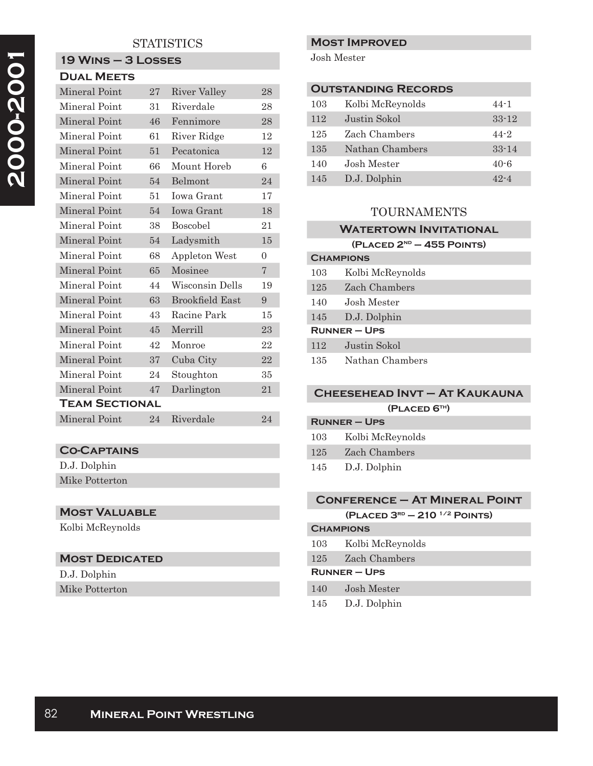## **STATISTICS**

#### **19 Wins – 3 Losses Dual Meets**

| PUAL MELIJ            |    |                        |                |
|-----------------------|----|------------------------|----------------|
| Mineral Point         | 27 | <b>River Valley</b>    | 28             |
| Mineral Point         | 31 | Riverdale              | 28             |
| Mineral Point         | 46 | Fennimore              | 28             |
| Mineral Point         | 61 | River Ridge            | 12             |
| Mineral Point         | 51 | Pecatonica             | 12             |
| Mineral Point         | 66 | Mount Horeb            | 6              |
| Mineral Point         | 54 | Belmont                | 24             |
| Mineral Point         | 51 | <b>Iowa Grant</b>      | 17             |
| Mineral Point         | 54 | <b>Iowa Grant</b>      | 18             |
| Mineral Point         | 38 | <b>Boscobel</b>        | 21             |
| Mineral Point         | 54 | Ladysmith              | 15             |
| Mineral Point         | 68 | Appleton West          | $\theta$       |
| Mineral Point         | 65 | Mosinee                | $\overline{7}$ |
| Mineral Point         | 44 | Wisconsin Dells        | 19             |
| Mineral Point         | 63 | <b>Brookfield East</b> | 9              |
| Mineral Point         | 43 | Racine Park            | 15             |
| Mineral Point         | 45 | Merrill                | 23             |
| Mineral Point         | 42 | Monroe                 | 22             |
| Mineral Point         | 37 | Cuba City              | 22             |
| Mineral Point         | 24 | Stoughton              | 35             |
| Mineral Point         | 47 | Darlington             | 21             |
| <b>TEAM SECTIONAL</b> |    |                        |                |
| Mineral Point         | 24 | Riverdale              | 24             |

# **Co-Captains**

D.J. Dolphin Mike Potterton

## **Most Valuable**

Kolbi McReynolds

# **Most Dedicated**

| D.J. Dolphin   |
|----------------|
| Mike Potterton |

## **Most Improved**

Josh Mester

| <b>OUTSTANDING RECORDS</b> |                  |           |
|----------------------------|------------------|-----------|
| 103                        | Kolbi McReynolds | $44 - 1$  |
| 112                        | Justin Sokol     | $33 - 12$ |
| 125                        | Zach Chambers    | $44 - 2$  |
| 135                        | Nathan Chambers  | $33 - 14$ |
| 140                        | Josh Mester      | $40 - 6$  |
| 145                        | D.J. Dolphin     | 49.-4     |

## TOURNAMENTS

## **Watertown Invitational**

**(Placed 2nd – 455 Points)**

| <b>CHAMPIONS</b>  |                  |
|-------------------|------------------|
| 103               | Kolbi McReynolds |
| 125               | Zach Chambers    |
| 140               | Josh Mester      |
| 145               | D.J. Dolphin     |
| <b>RUNNER-UPS</b> |                  |
| 112               | Justin Sokol     |
| 135               | Nathan Chambers  |

## **Cheesehead Invt – At Kaukauna (Placed 6th)**

| $R$ UNNER – UPS |                  |
|-----------------|------------------|
| 103             | Kolbi McReynolds |
| 125             | Zach Chambers    |
| 145             | D.J. Dolphin     |

# **Conference – At Mineral Point (Placed 3rd – 210 1/2 Points)**

| <b>CHAMPIONS</b>    |                      |  |
|---------------------|----------------------|--|
|                     | 103 Kolbi McReynolds |  |
|                     | 125 Zach Chambers    |  |
| <b>RUNNER – UPS</b> |                      |  |
|                     |                      |  |

- 140 Josh Mester
- 145 D.J. Dolphin